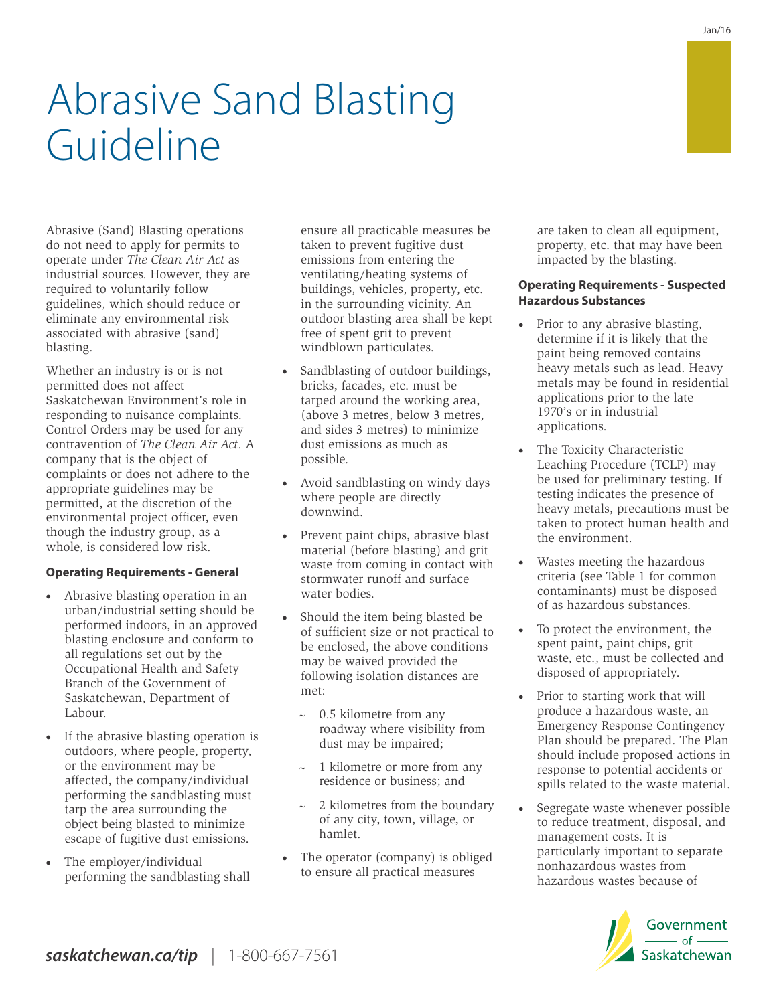Abrasive (Sand) Blasting operations do not need to apply for permits to operate under *The Clean Air Act* as industrial sources. However, they are required to voluntarily follow guidelines, which should reduce or eliminate any environmental risk associated with abrasive (sand) blasting.

Whether an industry is or is not permitted does not affect Saskatchewan Environment's role in responding to nuisance complaints. Control Orders may be used for any contravention of *The Clean Air Act*. A company that is the object of complaints or does not adhere to the appropriate guidelines may be permitted, at the discretion of the environmental project officer, even though the industry group, as a whole, is considered low risk.

### **Operating Requirements - General**

- · Abrasive blasting operation in an urban/industrial setting should be performed indoors, in an approved blasting enclosure and conform to all regulations set out by the Occupational Health and Safety Branch of the Government of Saskatchewan, Department of Labour.
- · If the abrasive blasting operation is outdoors, where people, property, or the environment may be affected, the company/individual performing the sandblasting must tarp the area surrounding the object being blasted to minimize escape of fugitive dust emissions.
- · The employer/individual performing the sandblasting shall

ensure all practicable measures be taken to prevent fugitive dust emissions from entering the ventilating/heating systems of buildings, vehicles, property, etc. in the surrounding vicinity. An outdoor blasting area shall be kept free of spent grit to prevent windblown particulates.

- Sandblasting of outdoor buildings, bricks, facades, etc. must be tarped around the working area, (above 3 metres, below 3 metres, and sides 3 metres) to minimize dust emissions as much as possible.
- Avoid sandblasting on windy days where people are directly downwind.
- · Prevent paint chips, abrasive blast material (before blasting) and grit waste from coming in contact with stormwater runoff and surface water bodies.
- Should the item being blasted be of sufficient size or not practical to be enclosed, the above conditions may be waived provided the following isolation distances are met:
	- $\sim$  0.5 kilometre from any roadway where visibility from dust may be impaired;
	- 1 kilometre or more from any residence or business; and
	- 2 kilometres from the boundary of any city, town, village, or hamlet.
- · The operator (company) is obliged to ensure all practical measures

are taken to clean all equipment, property, etc. that may have been impacted by the blasting.

## **Operating Requirements - Suspected Hazardous Substances**

- Prior to any abrasive blasting, determine if it is likely that the paint being removed contains heavy metals such as lead. Heavy metals may be found in residential applications prior to the late 1970's or in industrial applications.
- · The Toxicity Characteristic Leaching Procedure (TCLP) may be used for preliminary testing. If testing indicates the presence of heavy metals, precautions must be taken to protect human health and the environment.
- Wastes meeting the hazardous criteria (see Table 1 for common contaminants) must be disposed of as hazardous substances.
- To protect the environment, the spent paint, paint chips, grit waste, etc., must be collected and disposed of appropriately.
- Prior to starting work that will produce a hazardous waste, an Emergency Response Contingency Plan should be prepared. The Plan should include proposed actions in response to potential accidents or spills related to the waste material.
- Segregate waste whenever possible to reduce treatment, disposal, and management costs. It is particularly important to separate nonhazardous wastes from hazardous wastes because of